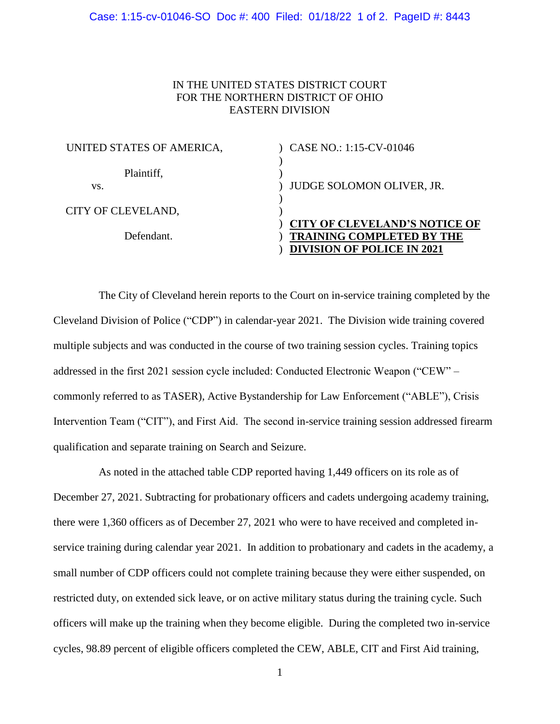## IN THE UNITED STATES DISTRICT COURT FOR THE NORTHERN DISTRICT OF OHIO EASTERN DIVISION

| UNITED STATES OF AMERICA, | CASE NO.: 1:15-CV-01046                                                                                       |
|---------------------------|---------------------------------------------------------------------------------------------------------------|
| Plaintiff,<br>VS.         | JUDGE SOLOMON OLIVER, JR.                                                                                     |
| CITY OF CLEVELAND,        |                                                                                                               |
| Defendant.                | <b>CITY OF CLEVELAND'S NOTICE OF</b><br><b>TRAINING COMPLETED BY THE</b><br><b>DIVISION OF POLICE IN 2021</b> |

The City of Cleveland herein reports to the Court on in-service training completed by the Cleveland Division of Police ("CDP") in calendar-year 2021. The Division wide training covered multiple subjects and was conducted in the course of two training session cycles. Training topics addressed in the first 2021 session cycle included: Conducted Electronic Weapon ("CEW" – commonly referred to as TASER), Active Bystandership for Law Enforcement ("ABLE"), Crisis Intervention Team ("CIT"), and First Aid. The second in-service training session addressed firearm qualification and separate training on Search and Seizure.

As noted in the attached table CDP reported having 1,449 officers on its role as of December 27, 2021. Subtracting for probationary officers and cadets undergoing academy training, there were 1,360 officers as of December 27, 2021 who were to have received and completed inservice training during calendar year 2021. In addition to probationary and cadets in the academy, a small number of CDP officers could not complete training because they were either suspended, on restricted duty, on extended sick leave, or on active military status during the training cycle. Such officers will make up the training when they become eligible. During the completed two in-service cycles, 98.89 percent of eligible officers completed the CEW, ABLE, CIT and First Aid training,